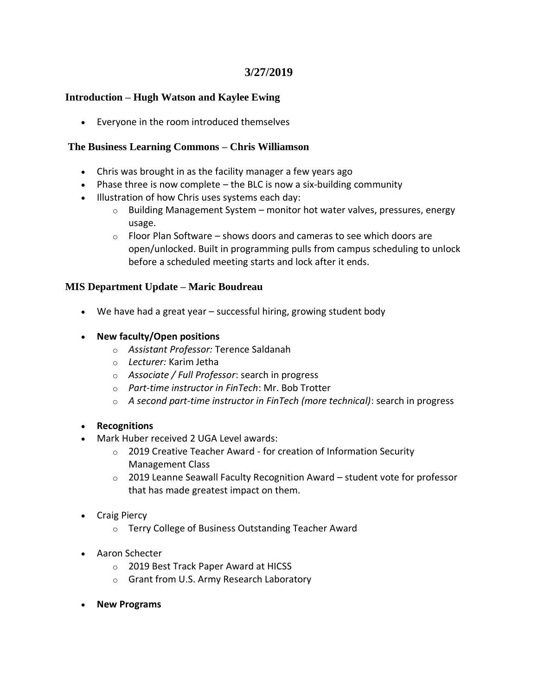# **3/27/2019**

### **Introduction – Hugh Watson and Kaylee Ewing**

• Everyone in the room introduced themselves

### **The Business Learning Commons – Chris Williamson**

- Chris was brought in as the facility manager a few years ago
- Phase three is now complete the BLC is now a six-building community
- Illustration of how Chris uses systems each day:
	- $\circ$  Building Management System monitor hot water valves, pressures, energy usage.
	- $\circ$  Floor Plan Software shows doors and cameras to see which doors are open/unlocked. Built in programming pulls from campus scheduling to unlock before a scheduled meeting starts and lock after it ends.

### **MIS Department Update – Maric Boudreau**

- We have had a great year successful hiring, growing student body
- **New faculty/Open positions**
	- o *Assistant Professor:* Terence Saldanah
	- o *Lecturer:* Karim Jetha
	- o *Associate / Full Professor*: search in progress
	- o *Part-time instructor in FinTech*: Mr. Bob Trotter
	- o *A second part-time instructor in FinTech (more technical)*: search in progress

### • **Recognitions**

- Mark Huber received 2 UGA Level awards:
	- o 2019 Creative Teacher Award for creation of Information Security Management Class
	- o 2019 Leanne Seawall Faculty Recognition Award student vote for professor that has made greatest impact on them.
- Craig Piercy
	- o Terry College of Business Outstanding Teacher Award
- Aaron Schecter
	- o 2019 Best Track Paper Award at HICSS
	- o Grant from U.S. Army Research Laboratory
- **New Programs**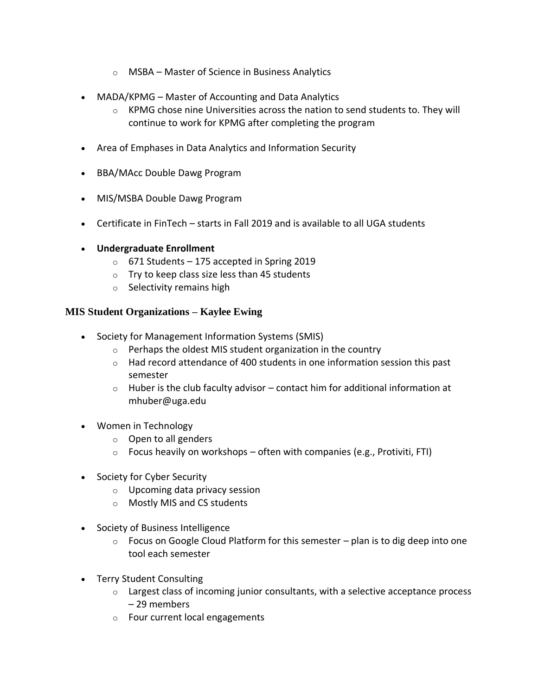- o MSBA Master of Science in Business Analytics
- MADA/KPMG Master of Accounting and Data Analytics
	- $\circ$  KPMG chose nine Universities across the nation to send students to. They will continue to work for KPMG after completing the program
- Area of Emphases in Data Analytics and Information Security
- BBA/MAcc Double Dawg Program
- MIS/MSBA Double Dawg Program
- Certificate in FinTech starts in Fall 2019 and is available to all UGA students
- **Undergraduate Enrollment**
	- $\circ$  671 Students 175 accepted in Spring 2019
	- $\circ$  Try to keep class size less than 45 students
	- o Selectivity remains high

### **MIS Student Organizations – Kaylee Ewing**

- Society for Management Information Systems (SMIS)
	- $\circ$  Perhaps the oldest MIS student organization in the country
	- o Had record attendance of 400 students in one information session this past semester
	- $\circ$  Huber is the club faculty advisor contact him for additional information at mhuber@uga.edu
- Women in Technology
	- o Open to all genders
	- $\circ$  Focus heavily on workshops often with companies (e.g., Protiviti, FTI)
- Society for Cyber Security
	- o Upcoming data privacy session
	- o Mostly MIS and CS students
- Society of Business Intelligence
	- $\circ$  Focus on Google Cloud Platform for this semester plan is to dig deep into one tool each semester
- Terry Student Consulting
	- $\circ$  Largest class of incoming junior consultants, with a selective acceptance process – 29 members
	- o Four current local engagements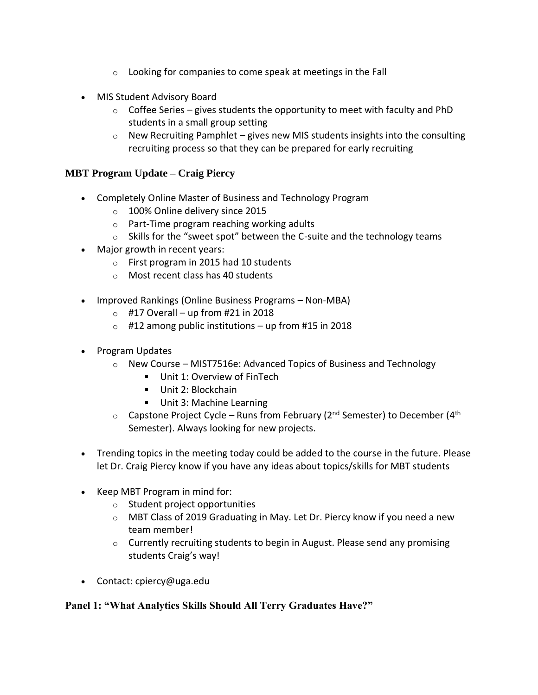- $\circ$  Looking for companies to come speak at meetings in the Fall
- MIS Student Advisory Board
	- $\circ$  Coffee Series gives students the opportunity to meet with faculty and PhD students in a small group setting
	- $\circ$  New Recruiting Pamphlet gives new MIS students insights into the consulting recruiting process so that they can be prepared for early recruiting

### **MBT Program Update – Craig Piercy**

- Completely Online Master of Business and Technology Program
	- o 100% Online delivery since 2015
	- o Part-Time program reaching working adults
	- $\circ$  Skills for the "sweet spot" between the C-suite and the technology teams
- Major growth in recent years:
	- o First program in 2015 had 10 students
	- o Most recent class has 40 students
- Improved Rankings (Online Business Programs Non-MBA)
	- $\circ$  #17 Overall up from #21 in 2018
	- $\circ$  #12 among public institutions up from #15 in 2018
- Program Updates
	- $\circ$  New Course MIST7516e: Advanced Topics of Business and Technology
		- Unit 1: Overview of FinTech
		- Unit 2: Blockchain
		- **Unit 3: Machine Learning**
	- $\circ$  Capstone Project Cycle Runs from February (2<sup>nd</sup> Semester) to December (4<sup>th</sup> Semester). Always looking for new projects.
- Trending topics in the meeting today could be added to the course in the future. Please let Dr. Craig Piercy know if you have any ideas about topics/skills for MBT students
- Keep MBT Program in mind for:
	- $\circ$  Student project opportunities
	- $\circ$  MBT Class of 2019 Graduating in May. Let Dr. Piercy know if you need a new team member!
	- o Currently recruiting students to begin in August. Please send any promising students Craig's way!
- Contact: cpiercy@uga.edu

# **Panel 1: "What Analytics Skills Should All Terry Graduates Have?"**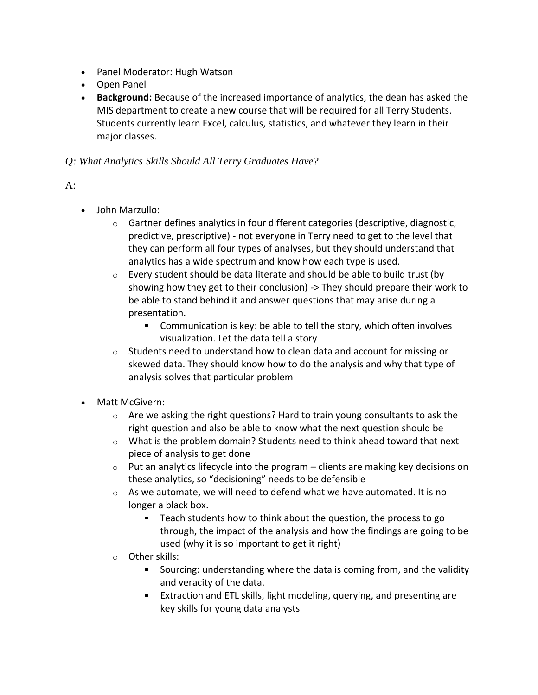- Panel Moderator: Hugh Watson
- Open Panel
- **Background:** Because of the increased importance of analytics, the dean has asked the MIS department to create a new course that will be required for all Terry Students. Students currently learn Excel, calculus, statistics, and whatever they learn in their major classes.

# *Q: What Analytics Skills Should All Terry Graduates Have?*

# $A$ :

- John Marzullo:
	- $\circ$  Gartner defines analytics in four different categories (descriptive, diagnostic, predictive, prescriptive) - not everyone in Terry need to get to the level that they can perform all four types of analyses, but they should understand that analytics has a wide spectrum and know how each type is used.
	- $\circ$  Every student should be data literate and should be able to build trust (by showing how they get to their conclusion) -> They should prepare their work to be able to stand behind it and answer questions that may arise during a presentation.
		- Communication is key: be able to tell the story, which often involves visualization. Let the data tell a story
	- $\circ$  Students need to understand how to clean data and account for missing or skewed data. They should know how to do the analysis and why that type of analysis solves that particular problem
- Matt McGivern:
	- $\circ$  Are we asking the right questions? Hard to train young consultants to ask the right question and also be able to know what the next question should be
	- $\circ$  What is the problem domain? Students need to think ahead toward that next piece of analysis to get done
	- $\circ$  Put an analytics lifecycle into the program clients are making key decisions on these analytics, so "decisioning" needs to be defensible
	- o As we automate, we will need to defend what we have automated. It is no longer a black box.
		- Teach students how to think about the question, the process to go through, the impact of the analysis and how the findings are going to be used (why it is so important to get it right)
	- o Other skills:
		- Sourcing: understanding where the data is coming from, and the validity and veracity of the data.
		- Extraction and ETL skills, light modeling, querying, and presenting are key skills for young data analysts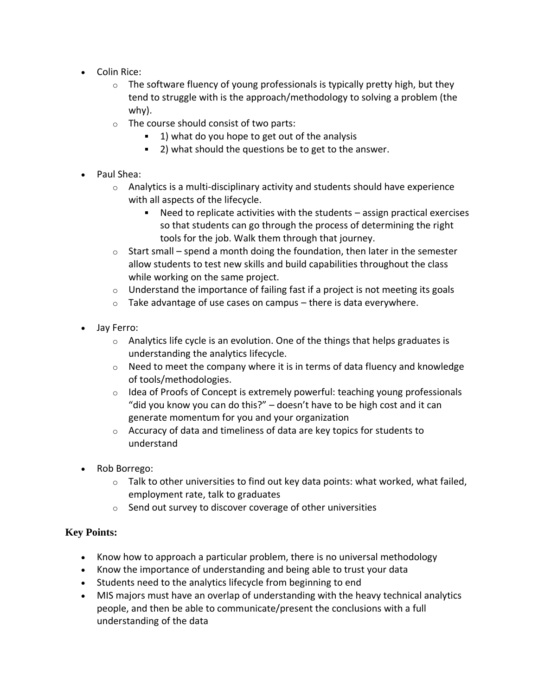- Colin Rice:
	- $\circ$  The software fluency of young professionals is typically pretty high, but they tend to struggle with is the approach/methodology to solving a problem (the why).
	- o The course should consist of two parts:
		- $1)$  what do you hope to get out of the analysis
		- 2) what should the questions be to get to the answer.
- Paul Shea:
	- $\circ$  Analytics is a multi-disciplinary activity and students should have experience with all aspects of the lifecycle.
		- Need to replicate activities with the students assign practical exercises so that students can go through the process of determining the right tools for the job. Walk them through that journey.
	- $\circ$  Start small spend a month doing the foundation, then later in the semester allow students to test new skills and build capabilities throughout the class while working on the same project.
	- $\circ$  Understand the importance of failing fast if a project is not meeting its goals
	- $\circ$  Take advantage of use cases on campus there is data everywhere.
- Jay Ferro:
	- $\circ$  Analytics life cycle is an evolution. One of the things that helps graduates is understanding the analytics lifecycle.
	- $\circ$  Need to meet the company where it is in terms of data fluency and knowledge of tools/methodologies.
	- $\circ$  Idea of Proofs of Concept is extremely powerful: teaching young professionals "did you know you can do this?" – doesn't have to be high cost and it can generate momentum for you and your organization
	- o Accuracy of data and timeliness of data are key topics for students to understand
- Rob Borrego:
	- $\circ$  Talk to other universities to find out key data points: what worked, what failed, employment rate, talk to graduates
	- $\circ$  Send out survey to discover coverage of other universities

# **Key Points:**

- Know how to approach a particular problem, there is no universal methodology
- Know the importance of understanding and being able to trust your data
- Students need to the analytics lifecycle from beginning to end
- MIS majors must have an overlap of understanding with the heavy technical analytics people, and then be able to communicate/present the conclusions with a full understanding of the data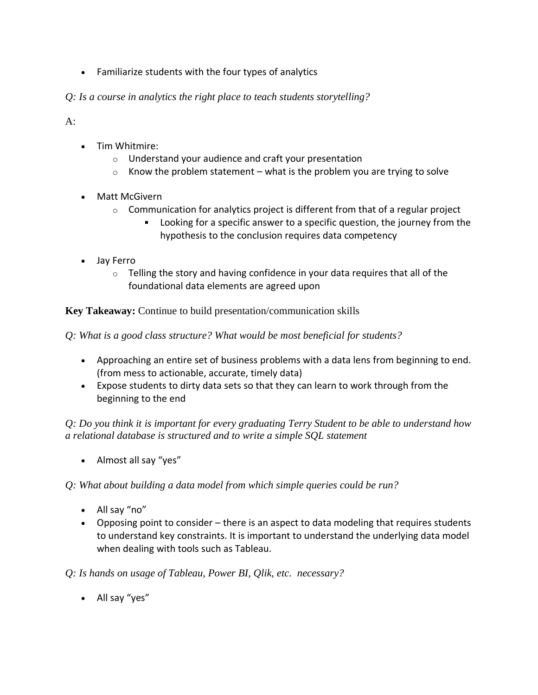• Familiarize students with the four types of analytics

*Q: Is a course in analytics the right place to teach students storytelling?*

 $A$ :

- Tim Whitmire:
	- o Understand your audience and craft your presentation
	- $\circ$  Know the problem statement what is the problem you are trying to solve
- Matt McGivern
	- $\circ$  Communication for analytics project is different from that of a regular project
		- Looking for a specific answer to a specific question, the journey from the hypothesis to the conclusion requires data competency
- Jay Ferro
	- $\circ$  Telling the story and having confidence in your data requires that all of the foundational data elements are agreed upon

**Key Takeaway:** Continue to build presentation/communication skills

*Q: What is a good class structure? What would be most beneficial for students?*

- Approaching an entire set of business problems with a data lens from beginning to end. (from mess to actionable, accurate, timely data)
- Expose students to dirty data sets so that they can learn to work through from the beginning to the end

*Q: Do you think it is important for every graduating Terry Student to be able to understand how a relational database is structured and to write a simple SQL statement*

• Almost all say "yes"

*Q: What about building a data model from which simple queries could be run?*

- All say "no"
- Opposing point to consider there is an aspect to data modeling that requires students to understand key constraints. It is important to understand the underlying data model when dealing with tools such as Tableau.

*Q: Is hands on usage of Tableau, Power BI, Qlik, etc. necessary?*

• All say "yes"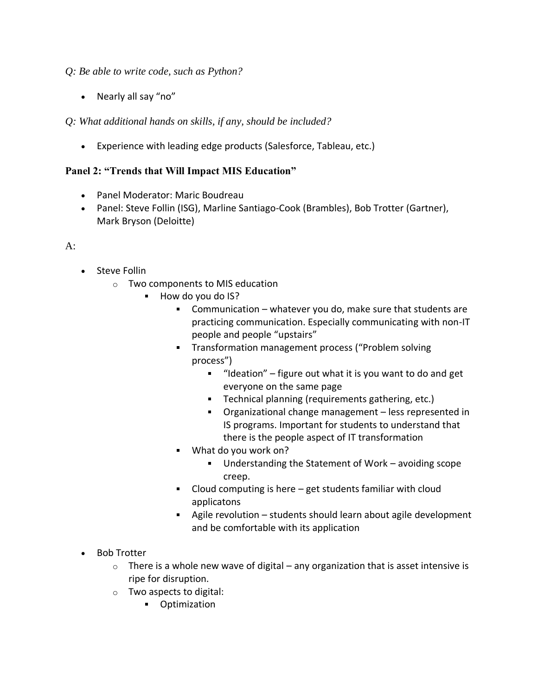# *Q: Be able to write code, such as Python?*

• Nearly all say "no"

*Q: What additional hands on skills, if any, should be included?*

• Experience with leading edge products (Salesforce, Tableau, etc.)

# **Panel 2: "Trends that Will Impact MIS Education"**

- Panel Moderator: Maric Boudreau
- Panel: Steve Follin (ISG), Marline Santiago-Cook (Brambles), Bob Trotter (Gartner), Mark Bryson (Deloitte)

### A:

- Steve Follin
	- o Two components to MIS education
		- $\blacksquare$ How do you do IS?
			- Communication whatever you do, make sure that students are practicing communication. Especially communicating with non-IT people and people "upstairs"
			- **Transformation management process ("Problem solving"** process")
				- $\blacksquare$  "Ideation" figure out what it is you want to do and get everyone on the same page
				- Technical planning (requirements gathering, etc.)
				- Organizational change management less represented in IS programs. Important for students to understand that there is the people aspect of IT transformation
			- What do you work on?  $\blacksquare$ 
				- Understanding the Statement of Work avoiding scope creep.
			- Cloud computing is here get students familiar with cloud applicatons
			- Agile revolution students should learn about agile development and be comfortable with its application
- Bob Trotter
	- $\circ$  There is a whole new wave of digital any organization that is asset intensive is ripe for disruption.
	- o Two aspects to digital:
		- **•** Optimization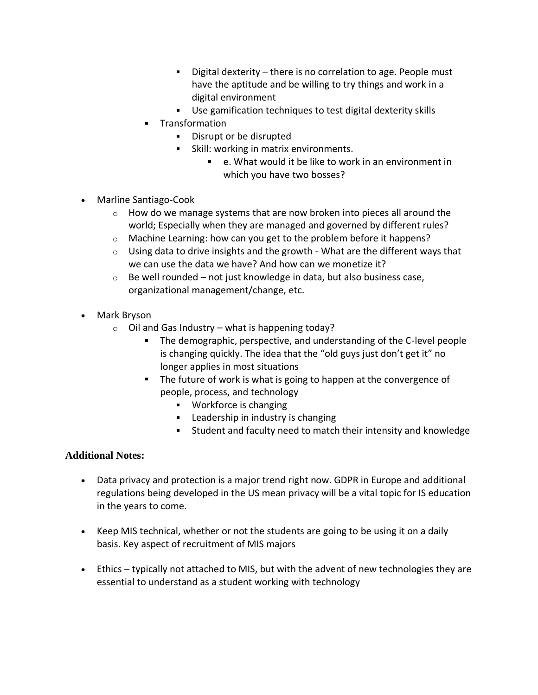- $\mathbf{u} = \mathbf{u}$ Digital dexterity – there is no correlation to age. People must have the aptitude and be willing to try things and work in a digital environment
- Use gamification techniques to test digital dexterity skills
- **Transformation** 
	- **•** Disrupt or be disrupted
	- **Skill: working in matrix environments.** 
		- e. What would it be like to work in an environment in which you have two bosses?
- Marline Santiago-Cook
	- o How do we manage systems that are now broken into pieces all around the world; Especially when they are managed and governed by different rules?
	- o Machine Learning: how can you get to the problem before it happens?
	- $\circ$  Using data to drive insights and the growth What are the different ways that we can use the data we have? And how can we monetize it?
	- $\circ$  Be well rounded not just knowledge in data, but also business case, organizational management/change, etc.
- Mark Bryson
	- $\circ$  Oil and Gas Industry what is happening today?
		- The demographic, perspective, and understanding of the C-level people is changing quickly. The idea that the "old guys just don't get it" no longer applies in most situations
		- The future of work is what is going to happen at the convergence of people, process, and technology
			- Workforce is changing
			- **EXEC** Leadership in industry is changing
			- Student and faculty need to match their intensity and knowledge

# **Additional Notes:**

- Data privacy and protection is a major trend right now. GDPR in Europe and additional regulations being developed in the US mean privacy will be a vital topic for IS education in the years to come.
- Keep MIS technical, whether or not the students are going to be using it on a daily basis. Key aspect of recruitment of MIS majors
- Ethics typically not attached to MIS, but with the advent of new technologies they are essential to understand as a student working with technology